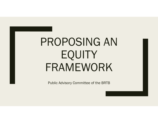# PROPOSING AN EQUITY FRAMEWORK

Public Advisory Committee of the BRTB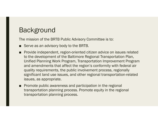## Background

The mission of the BRTB Public Advisory Committee is to:

- Serve as an advisory body to the BRTB.
- Provide independent, region-oriented citizen advice on issues related to the development of the Baltimore Regional Transportation Plan, Unified Planning Work Program, Transportation Improvement Program and amendments that affect the region's conformity with federal air quality requirements, the public involvement process, regionally significant land use issues, and other regional transportation-related issues, as appropriate.
- Promote public awareness and participation in the regional transportation planning process. Promote equity in the regional transportation planning process.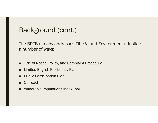## Background (cont.)

The BRTB already addresses Title VI and Environmental Justice a number of ways:

- ■Title VI Notice, Policy, and Complaint Procedure
- ■Limited English Proficiency Plan
- Public Participation Plan
- Outreach
- Vulnerable Populations Index Tool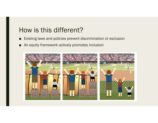## How is this different?

- ■Existing laws and policies prevent discrimination or exclusion
- ■An equity framework actively promotes inclusion

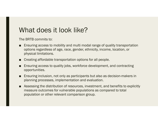## What does it look like?

The BRTB commits to:

- ■ Ensuring access to mobility and multi modal range of quality transportation options regardless of age, race, gender, ethnicity, income, location, or physical limitations.
- Creating affordable transportation options for all people.
- Ensuring access to quality jobs, workforce development, and contracting opportunities.
- Ensuring inclusion, not only as participants but also as decision-makers in planning processes, implementation and evaluation.
- Assessing the distribution of resources, investment, and benefits to explicitly measure outcomes for vulnerable populations as compared to total population or other relevant comparison group.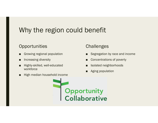# Why the region could benefit

### **Opportunities**

- ■Growing regional population
- ■Increasing diversity
- ■ Highly-skilled, well-educated workforce
- High median household income

## **Challenges**

- ■Segregation by race and income
- ■Concentrations of poverty
- ■Isolated neighborhoods
- Aging population

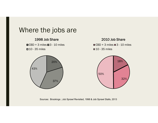

Sources: Brookings ; Job Sprawl Revisited, 1998 & Job Sprawl Stalls, 2013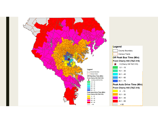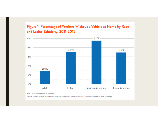#### Figure 1. Percentage of Workers Without a Vehicle at Home by Race and Latino Ethnicity, 2011-2015



Note: Racial categories exclude Latinos.

Source: Author's analysis of American Community Survey data from IPUMS-USA, University of Minnesota, www.ipums.org.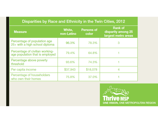#### Disparities by Race and Ethnicity in the Twin Cities, 2012

| <b>Measure</b>                                                     | White,<br>non-Latino | <b>Persons of</b><br>color | <b>Rank of</b><br>disparity among 25<br>largest metro areas |
|--------------------------------------------------------------------|----------------------|----------------------------|-------------------------------------------------------------|
| Percentage of population age<br>25+ with a high school diploma     | 96.3%                | 78.3%                      | 3                                                           |
| Percentage of civilian working-<br>age population that is employed | 79.4%                | 64.8%                      |                                                             |
| Percentage above poverty<br>threshold                              | 93.6%                | 74.3%                      |                                                             |
| Per capita income                                                  | \$37,943             | \$18,078                   |                                                             |
| Percentage of householders<br>who own their homes                  | 75.8%                | 37.0%                      |                                                             |